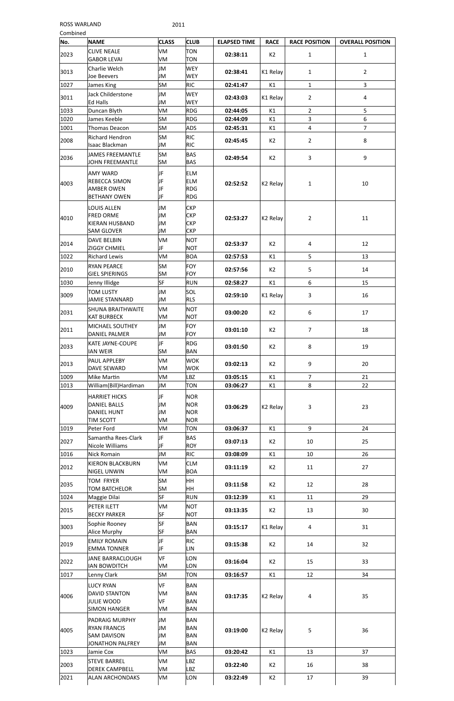| Combined |                                                                                |                        |                                                      |                     |                      |                      |                         |
|----------|--------------------------------------------------------------------------------|------------------------|------------------------------------------------------|---------------------|----------------------|----------------------|-------------------------|
| No.      | <b>NAME</b>                                                                    | <b>CLASS</b>           | <b>CLUB</b>                                          | <b>ELAPSED TIME</b> | <b>RACE</b>          | <b>RACE POSITION</b> | <b>OVERALL POSITION</b> |
| 2023     | <b>CLIVE NEALE</b><br><b>GABOR LEVAI</b>                                       | VM<br>VM               | <b>TON</b><br><b>TON</b>                             | 02:38:11            | K <sub>2</sub>       | $\mathbf{1}$         | $\mathbf{1}$            |
| 3013     | Charlie Welch<br>Joe Beevers                                                   | JМ<br>JM               | <b>WEY</b><br><b>WEY</b>                             | 02:38:41            | K1 Relay             | $\mathbf{1}$         | $\overline{2}$          |
| 1027     | James King                                                                     | <b>SM</b>              | <b>RIC</b>                                           | 02:41:47            | K1                   | $\mathbf{1}$         | 3                       |
| 3011     | Jack Childerstone<br>Ed Halls                                                  | JM<br>Ml               | <b>WEY</b><br><b>WEY</b>                             | 02:43:03            | K1 Relay             | $\overline{2}$       | 4                       |
| 1033     | Duncan Blyth                                                                   | VM                     | <b>RDG</b>                                           | 02:44:05            | K1                   | $\overline{2}$       | 5                       |
| 1020     | James Keeble                                                                   | <b>SM</b>              | <b>RDG</b>                                           | 02:44:09            | K1                   | 3                    | 6                       |
| 1001     | Thomas Deacon                                                                  | <b>SM</b>              | <b>ADS</b>                                           | 02:45:31            | K1                   | 4                    | $\overline{7}$          |
| 2008     | <b>Richard Hendron</b><br><b>Isaac Blackman</b>                                | <b>SM</b><br>JM        | <b>RIC</b><br><b>RIC</b>                             | 02:45:45            | K <sub>2</sub>       | $\overline{2}$       | 8                       |
| 2036     | <b>JAMES FREEMANTLE</b><br><b>JOHN FREEMANTLE</b>                              | <b>SM</b><br><b>SM</b> | <b>BAS</b><br><b>BAS</b>                             | 02:49:54            | K <sub>2</sub>       | 3                    | 9                       |
| 4003     | <b>AMY WARD</b><br>REBECCA SIMON<br><b>AMBER OWEN</b><br><b>BETHANY OWEN</b>   | JF<br>JF<br>JF<br>JF   | <b>ELM</b><br><b>ELM</b><br><b>RDG</b><br><b>RDG</b> | 02:52:52            | K <sub>2</sub> Relay | $\mathbf{1}$         | 10                      |
| 4010     | LOUIS ALLEN<br><b>FRED ORME</b><br><b>KIERAN HUSBAND</b><br><b>SAM GLOVER</b>  | JM<br>JM<br>JM<br>JM   | <b>CKP</b><br><b>CKP</b><br><b>CKP</b><br><b>CKP</b> | 02:53:27            | K <sub>2</sub> Relay | $\overline{2}$       | 11                      |
| 2014     | <b>DAVE BELBIN</b><br><b>ZIGGY CHMIEL</b>                                      | VM<br>JF               | <b>NOT</b><br><b>NOT</b>                             | 02:53:37            | K <sub>2</sub>       | 4                    | 12                      |
| 1022     | <b>Richard Lewis</b>                                                           | VM                     | <b>BOA</b>                                           | 02:57:53            | K1                   | 5                    | 13                      |
| 2010     | <b>RYAN PEARCE</b><br><b>GIEL SPIERINGS</b>                                    | <b>SM</b><br><b>SM</b> | <b>FOY</b><br><b>FOY</b>                             | 02:57:56            | K2                   | 5                    | 14                      |
| 1030     | Jenny Illidge                                                                  | <b>SF</b>              | <b>RUN</b>                                           | 02:58:27            | K1                   | 6                    | 15                      |
| 3009     | <b>TOM LUSTY</b><br><b>JAMIE STANNARD</b>                                      | JM<br>JM               | SOL<br><b>RLS</b>                                    | 02:59:10            | K1 Relay             | 3                    | 16                      |
| 2031     | <b>SHUNA BRAITHWAITE</b><br><b>KAT BURBECK</b>                                 | VM<br>VM               | <b>NOT</b><br><b>NOT</b>                             | 03:00:20            | K <sub>2</sub>       | 6                    | 17                      |
| 2011     | MICHAEL SOUTHEY<br>DANIEL PALMER                                               | JМ<br>JM               | <b>FOY</b><br><b>FOY</b>                             | 03:01:10            | K <sub>2</sub>       | $\overline{7}$       | 18                      |
| 2033     | KATE JAYNE-COUPE<br>IAN WEIR                                                   | JF<br>SM               | <b>RDG</b><br><b>BAN</b>                             | 03:01:50            | K <sub>2</sub>       | 8                    | 19                      |
| 2013     | PAUL APPLEBY<br>DAVE SEWARD                                                    | VM<br>VM               | <b>WOK</b><br><b>WOK</b>                             | 03:02:13            | K <sub>2</sub>       | 9                    | 20                      |
| 1009     | Mike Martin                                                                    | VM                     | LBZ                                                  | 03:05:15            | K1                   | $\overline{7}$       | 21                      |
| 1013     | William(Bill)Hardiman                                                          | JM                     | <b>TON</b>                                           | 03:06:27            | K1                   | 8                    | 22                      |
| 4009     | <b>HARRIET HICKS</b><br><b>DANIEL BALLS</b><br><b>DANIEL HUNT</b><br>TIM SCOTT | JF<br>JM<br>JМ<br>VM   | <b>NOR</b><br><b>NOR</b><br><b>NOR</b><br><b>NOR</b> | 03:06:29            | K2 Relay             | 3                    | 23                      |
| 1019     | Peter Ford                                                                     | VM                     | <b>TON</b>                                           | 03:06:37            | K1                   | 9                    | 24                      |
| 2027     | Samantha Rees-Clark<br>Nicole Williams                                         | JF<br>JF               | <b>BAS</b><br><b>ROY</b>                             | 03:07:13            | K <sub>2</sub>       | 10                   | 25                      |
| 1016     | Nick Romain                                                                    | JM                     | <b>RIC</b>                                           | 03:08:09            | K1                   | 10                   | 26                      |
| 2012     | KIERON BLACKBURN<br>UCEL UNIVERSITY                                            | VM<br>$\overline{1}$   | <b>CLM</b><br>n o A                                  | 03:11:19            | K <sub>2</sub>       | 11                   | 27                      |

ROSS WARLAND 2011

NIGEL UNWIN

VM

BOA

2035

TOM FRYER TOM BATCHELOR SM SM

HH HH

2015

PETER ILETT

VM

NOT

1024 | Maggie Dilai | SF | RUN | 03:12:39 | K1 | 11 | 29

| 2015 | . L . L L<br><b>BECKY PARKER</b>                                                       | 1 V I V I<br><b>SF</b>      | ┉<br><b>NOT</b>                                      | 03:13:35 | K <sub>2</sub>       | 13             | 30 |
|------|----------------------------------------------------------------------------------------|-----------------------------|------------------------------------------------------|----------|----------------------|----------------|----|
| 3003 | Sophie Rooney<br>Alice Murphy                                                          | <b>SF</b><br>SF             | <b>BAN</b><br><b>BAN</b>                             | 03:15:17 | K1 Relay             | $\overline{a}$ | 31 |
| 2019 | <b>EMILY ROMAIN</b><br><b>EMMA TONNER</b>                                              | JF<br>JF                    | <b>RIC</b><br>LIN                                    | 03:15:38 | K <sub>2</sub>       | 14             | 32 |
| 2022 | JANE BARRACLOUGH<br><b>IAN BOWDITCH</b>                                                | <b>VF</b><br>VM             | <b>LON</b><br><b>LON</b>                             | 03:16:04 | K <sub>2</sub>       | 15             | 33 |
| 1017 | Lenny Clark                                                                            | SM                          | TON                                                  | 03:16:57 | K1                   | 12             | 34 |
| 4006 | <b>LUCY RYAN</b><br><b>DAVID STANTON</b><br>JULIE WOOD<br>ISIMON HANGER                | <b>VF</b><br>VM<br>VF<br>VM | <b>BAN</b><br><b>BAN</b><br><b>BAN</b><br><b>BAN</b> | 03:17:35 | K <sub>2</sub> Relay | 4              | 35 |
| 4005 | <b>PADRAIG MURPHY</b><br><b>RYAN FRANCIS</b><br><b>SAM DAVISON</b><br>JONATHON PALFREY | JM<br>JM<br>JM<br>JM        | <b>BAN</b><br><b>BAN</b><br><b>BAN</b><br><b>BAN</b> | 03:19:00 | K <sub>2</sub> Relay | 5              | 36 |
| 1023 | Jamie Cox                                                                              | VM                          | <b>BAS</b>                                           | 03:20:42 | K1                   | 13             | 37 |
| 2003 | <b>STEVE BARREL</b><br><b>DEREK CAMPBELL</b>                                           | VM<br>VM                    | <b>LBZ</b><br><b>LBZ</b>                             | 03:22:40 | K <sub>2</sub>       | 16             | 38 |
| 2021 | ALAN ARCHONDAKS                                                                        | VM                          | <b>LON</b>                                           | 03:22:49 | K <sub>2</sub>       | 17             | 39 |

**03:11:58**  $K2$  12 12 28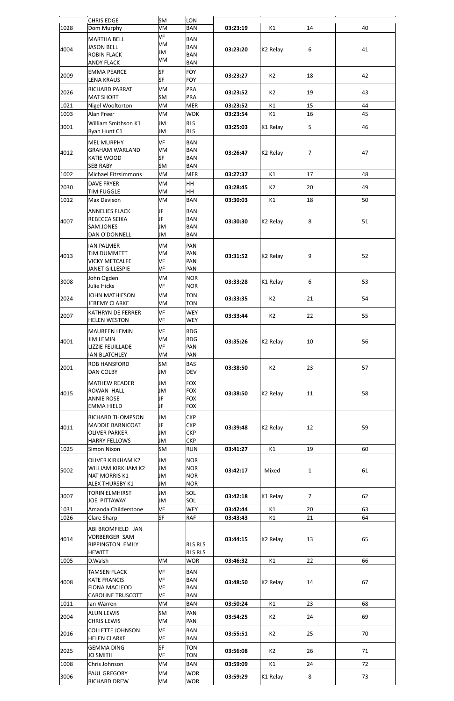|              | <b>CHRIS EDGE</b>                               | <b>SM</b>              | LON                      |                      |                      |                |          |
|--------------|-------------------------------------------------|------------------------|--------------------------|----------------------|----------------------|----------------|----------|
| 1028         | Dom Murphy                                      | VM                     | <b>BAN</b>               | 03:23:19             | K1                   | 14             | 40       |
|              | <b>MARTHA BELL</b>                              | VF                     | <b>BAN</b>               |                      |                      |                |          |
| 4004         | JASON BELL                                      | VM<br>JM               | <b>BAN</b>               | 03:23:20             | K <sub>2</sub> Relay | 6              | 41       |
|              | <b>ROBIN FLACK</b>                              | VM                     | <b>BAN</b>               |                      |                      |                |          |
|              | <b>ANDY FLACK</b>                               |                        | <b>BAN</b>               |                      |                      |                |          |
| 2009         | <b>EMMA PEARCE</b><br><b>LENA KRAUS</b>         | <b>SF</b><br><b>SF</b> | <b>FOY</b><br><b>FOY</b> | 03:23:27             | K2                   | 18             | 42       |
|              |                                                 |                        |                          |                      |                      |                |          |
| 2026         | RICHARD PARRAT<br><b>MAT SHORT</b>              | VM<br>SM               | PRA<br><b>PRA</b>        | 03:23:52             | K2                   | 19             | 43       |
| 1021         | Nigel Wooltorton                                | VM                     | <b>MER</b>               | 03:23:52             | K1                   | 15             | 44       |
| 1003         | Alan Freer                                      | VM                     | <b>WOK</b>               | 03:23:54             | K1                   | 16             | 45       |
|              | William Smithson K1                             | JM                     | <b>RLS</b>               |                      |                      |                |          |
| 3001         | Ryan Hunt C1                                    | JМ                     | <b>RLS</b>               | 03:25:03             | K1 Relay             | 5              | 46       |
|              | <b>MEL MURPHY</b>                               | <b>VF</b>              | <b>BAN</b>               |                      |                      |                |          |
|              | <b>GRAHAM WARLAND</b>                           | VM                     | <b>BAN</b>               |                      |                      |                |          |
| 4012         | <b>KATIE WOOD</b>                               | <b>SF</b>              | <b>BAN</b>               | 03:26:47             | K <sub>2</sub> Relay | $\overline{7}$ | 47       |
|              | <b>SEB RABY</b>                                 | <b>SM</b>              | <b>BAN</b>               |                      |                      |                |          |
| 1002         | <b>Michael Fitzsimmons</b>                      | VM                     | <b>MER</b>               | 03:27:37             | K1                   | 17             | 48       |
| 2030         | <b>DAVE FRYER</b>                               | VM                     | HH                       | 03:28:45             | K <sub>2</sub>       | 20             | 49       |
|              | <b>TIM FUGGLE</b>                               | VM                     | <b>HH</b>                |                      |                      |                |          |
| 1012         | Max Davison                                     | VM                     | <b>BAN</b>               | 03:30:03             | K1                   | 18             | 50       |
|              | <b>ANNELIES FLACK</b>                           | JF                     | <b>BAN</b>               |                      |                      |                |          |
| 4007         | REBECCA SEIKA                                   | JF                     | <b>BAN</b>               | 03:30:30             | K <sub>2</sub> Relay | 8              | 51       |
|              | <b>SAM JONES</b>                                | JM<br>ЛL               | <b>BAN</b>               |                      |                      |                |          |
|              | DAN O'DONNELL                                   |                        | <b>BAN</b>               |                      |                      |                |          |
|              | <b>IAN PALMER</b>                               | VM                     | <b>PAN</b>               |                      |                      |                |          |
| 4013         | <b>TIM DUMMETT</b><br><b>VICKY METCALFE</b>     | VM<br><b>VF</b>        | PAN<br>PAN               | 03:31:52             | K <sub>2</sub> Relay | 9              | 52       |
|              | JANET GILLESPIE                                 | VF                     | PAN                      |                      |                      |                |          |
|              | John Ogden                                      | VM                     | <b>NOR</b>               |                      |                      |                |          |
| 3008         | Julie Hicks                                     | VF                     | <b>NOR</b>               | 03:33:28             | K1 Relay             | 6              | 53       |
|              | JOHN MATHIESON                                  | VM                     | <b>TON</b>               |                      |                      |                |          |
| 2024         | JEREMY CLARKE                                   | VM                     | <b>TON</b>               | 03:33:35             | K2                   | 21             | 54       |
| 2007         | <b>KATHRYN DE FERRER</b>                        | VF                     | <b>WEY</b>               | 03:33:44             | K2                   | 22             | 55       |
|              | <b>HELEN WESTON</b>                             | VF                     | <b>WEY</b>               |                      |                      |                |          |
|              | <b>MAUREEN LEMIN</b>                            | <b>VF</b>              | <b>RDG</b>               |                      |                      |                |          |
| 4001         | <b>JIM LEMIN</b>                                | VM                     | <b>RDG</b>               | 03:35:26             | K <sub>2</sub> Relay | 10             | 56       |
|              | <b>LIZZIE FEUILLADE</b>                         | <b>VF</b>              | PAN                      |                      |                      |                |          |
|              | <b>IAN BLATCHLEY</b>                            | VM                     | PAN                      |                      |                      |                |          |
| 2001         | <b>ROB HANSFORD</b><br><b>DAN COLBY</b>         | <b>SM</b><br>JM        | <b>BAS</b><br><b>DEV</b> | 03:38:50             | K2                   | 23             | 57       |
|              |                                                 |                        |                          |                      |                      |                |          |
|              | <b>MATHEW READER</b>                            | JM                     | <b>FOX</b>               |                      |                      |                |          |
| 4015         | <b>ROWAN HALL</b><br><b>ANNIE ROSE</b>          | JM<br>JF               | <b>FOX</b><br><b>FOX</b> | 03:38:50             | K <sub>2</sub> Relay | 11             | 58       |
|              | <b>EMMA HIELD</b>                               | JF                     | <b>FOX</b>               |                      |                      |                |          |
|              | <b>RICHARD THOMPSON</b>                         | <b>JM</b>              | <b>CKP</b>               |                      |                      |                |          |
|              | <b>MADDIE BARNICOAT</b>                         | JF                     | <b>CKP</b>               |                      |                      |                |          |
| 4011         | <b>OLIVER PARKER</b>                            | JM                     | <b>CKP</b>               | 03:39:48             | K <sub>2</sub> Relay | 12             | 59       |
|              | <b>HARRY FELLOWS</b>                            | JM                     | <b>CKP</b>               |                      |                      |                |          |
| 1025         | <b>Simon Nixon</b>                              | <b>SM</b>              | <b>RUN</b>               | 03:41:27             | K1                   | 19             | 60       |
|              | <b>OLIVER KIRKHAM K2</b>                        | <b>JM</b>              | <b>NOR</b>               |                      |                      |                |          |
| 5002         | <b>WILLIAM KIRKHAM K2</b>                       | JM                     | <b>NOR</b>               | 03:42:17             | Mixed                | $\mathbf{1}$   | 61       |
|              | <b>NAT MORRIS K1</b>                            | JM                     | <b>NOR</b>               |                      |                      |                |          |
|              | ALEX THURSBY K1                                 | JM                     | <b>NOR</b>               |                      |                      |                |          |
| 3007         | <b>TORIN ELMHIRST</b>                           | JM                     | SOL                      | 03:42:18             | K1 Relay             | $\overline{7}$ | 62       |
|              | JOE PITTAWAY                                    | JM                     | SOL                      |                      |                      |                |          |
| 1031<br>1026 | Amanda Childerstone<br>Clare Sharp              | <b>VF</b><br><b>SF</b> | <b>WEY</b><br><b>RAF</b> | 03:42:44<br>03:43:43 | K1<br>K1             | 20<br>21       | 63<br>64 |
|              |                                                 |                        |                          |                      |                      |                |          |
|              | ABI BROMFIELD JAN                               |                        |                          |                      |                      |                |          |
| 4014         | <b>VORBERGER SAM</b><br><b>RIPPINGTON EMILY</b> |                        | <b>RLS RLS</b>           | 03:44:15             | K <sub>2</sub> Relay | 13             | 65       |
|              | <b>HEWITT</b>                                   |                        | <b>RLS RLS</b>           |                      |                      |                |          |
| 1005         | D.Walsh                                         | VM                     | <b>WOR</b>               | 03:46:32             | K1                   | 22             | 66       |
|              | <b>TAMSEN FLACK</b>                             | VF                     | <b>BAN</b>               |                      |                      |                |          |
|              | <b>KATE FRANCIS</b>                             | <b>VF</b>              | <b>BAN</b>               |                      | K <sub>2</sub> Relay | 14             | 67       |
| 4008         | <b>FIONA MACLEOD</b>                            | <b>VF</b>              | <b>BAN</b>               | 03:48:50             |                      |                |          |
|              | <b>CAROLINE TRUSCOTT</b>                        | VF                     | <b>BAN</b>               |                      |                      |                |          |
| 1011         | lan Warren                                      | VM                     | <b>BAN</b>               | 03:50:24             | K1                   | 23             | 68       |
| 2004         | <b>ALUN LEWIS</b>                               | SM                     | PAN                      | 03:54:25             | K2                   | 24             | 69       |
|              | <b>CHRIS LEWIS</b>                              | VM                     | PAN                      |                      |                      |                |          |
| 2016         | <b>COLLETTE JOHNSON</b>                         | <b>VF</b>              | <b>BAN</b>               | 03:55:51             | K2                   | 25             | 70       |
|              | <b>HELEN CLARKE</b>                             | VF                     | <b>BAN</b>               |                      |                      |                |          |
| 2025         | <b>GEMMA DING</b><br>JO SMITH                   | <b>SF</b><br>VF        | <b>TON</b><br>TON        | 03:56:08             | K2                   | 26             | 71       |
| 1008         | Chris Johnson                                   | VM                     | <b>BAN</b>               | 03:59:09             | K1                   | 24             | 72       |
|              | PAUL GREGORY                                    | VM                     | <b>WOR</b>               |                      |                      |                |          |
| 3006         | <b>RICHARD DREW</b>                             | VM                     | <b>WOR</b>               | 03:59:29             | K1 Relay             | 8              | 73       |